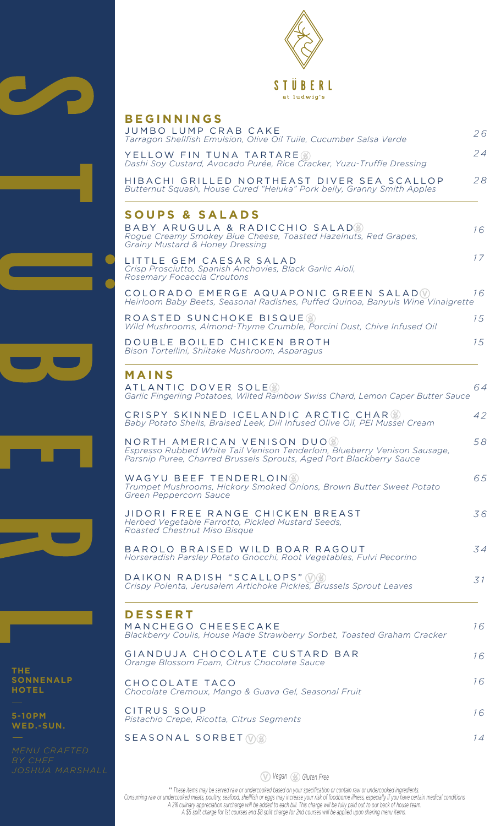



| <b>BEGINNINGS</b><br>JUMBO LUMP CRAB CAKE                                                                                                                                       |    |
|---------------------------------------------------------------------------------------------------------------------------------------------------------------------------------|----|
| Tarragon Shellfish Emulsion, Olive Oil Tuile, Cucumber Salsa Verde                                                                                                              | 26 |
| YELLOW FIN TUNA TARTARE(*)<br>Dashi Soy Custard, Avocado Purée, Rice Cracker, Yuzu-Truffle Dressing                                                                             | 24 |
| HIBACHI GRILLED NORTHEAST DIVER SEA SCALLOP<br>Butternut Squash, House Cured "Heluka" Pork belly, Granny Smith Apples                                                           | 28 |
| <b>SOUPS &amp; SALADS</b>                                                                                                                                                       |    |
| BABY ARUGULA & RADICCHIO SALADO<br>Rogue Creamy Smokey Blue Cheese, Toasted Hazelnuts, Red Grapes,<br>Grainy Mustard & Honey Dressing                                           | 16 |
| LITTLE GEM CAESAR SALAD<br>Crisp Prosciutto, Spanish Anchovies, Black Garlic Aioli,<br>Rosemary Focaccia Croutons                                                               | 17 |
| COLORADO EMERGE AQUAPONIC GREEN SALAD(V)<br>Heirloom Baby Beets, Seasonal Radishes, Puffed Quinoa, Banyuls Wine Vinaigrette                                                     | 16 |
| ROASTED SUNCHOKE BISQUE®<br>Wild Mushrooms, Almond-Thyme Crumble, Porcini Dust, Chive Infused Oil                                                                               | 15 |
| DOUBLE BOILED CHICKEN BROTH<br>Bison Tortellini, Shiitake Mushroom, Asparagus                                                                                                   | 15 |
| MAINS                                                                                                                                                                           |    |
| ATLANTIC DOVER SOLE(%)<br>Garlic Fingerling Potatoes, Wilted Rainbow Swiss Chard, Lemon Caper Butter Sauce                                                                      | 64 |
| CRISPY SKINNED ICELANDIC ARCTIC CHAR<br>Baby Potato Shells, Braised Leek, Dill Infused Olive Oil, PEI Mussel Cream                                                              | 42 |
| NORTH AMERICAN VENISON DUO.<br>Espresso Rubbed White Tail Venison Tenderloin, Blueberry Venison Sausage,<br>Parsnip Puree, Charred Brussels Sprouts, Aged Port Blackberry Sauce | 58 |
| WAGYU BEEF TENDERLOIN(%)<br>Trumpet Mushrooms, Hickory Smoked Onions, Brown Butter Sweet Potato<br>Green Peppercorn Sauce                                                       | 65 |
| JIDORI FREE RANGE CHICKEN BREAST<br>Herbed Vegetable Farrotto, Pickled Mustard Seeds,<br>Roasted Chestnut Miso Bisque                                                           | 36 |
| BAROLO BRAISED WILD BOAR RAGOUT<br>Horseradish Parsley Potato Gnocchi, Root Vegetables, Fulvi Pecorino                                                                          | 34 |
| DAIKON RADISH "SCALLOPS" (V)<br>Crispy Polenta, Jerusalem Artichoke Pickles, Brussels Sprout Leaves                                                                             | 31 |
| <b>DESSERT</b><br>MANCHEGO CHEESECAKE<br>Blackberry Coulis, House Made Strawberry Sorbet, Toasted Graham Cracker                                                                | 16 |
| GIANDUJA CHOCOLATE CUSTARD BAR<br>Orange Blossom Foam, Citrus Chocolate Sauce                                                                                                   | 16 |
| CHOCOLATE TACO<br>Chocolate Cremoux, Mango & Guava Gel, Seasonal Fruit                                                                                                          | 16 |
| CITRUS SOUP<br>Pistachio Crepe, Ricotta, Citrus Segments                                                                                                                        | 16 |
| SEASONAL SORBET (V)                                                                                                                                                             | 14 |
|                                                                                                                                                                                 |    |

**THE SONNENALP HOTEL**

**5-10PM WED.-SUN.**

*JOSHUA MARSHALL* Ⓥ *Vegan Gluten Free*

*\*\* These items may be served raw or undercooked based on your specification or contain raw or undercooked ingredients. Consuming raw or undercooked meats, poultry, seafood, shellfish or eggs may increase your risk of foodborne illness, especially if you have certain medical conditions A 2% culinary appreciation surcharge will be added to each bill. This charge will be fully paid out to our back of house team. A \$5 split charge for 1st courses and \$8 split charge for 2nd courses will be applied upon sharing menu items.*